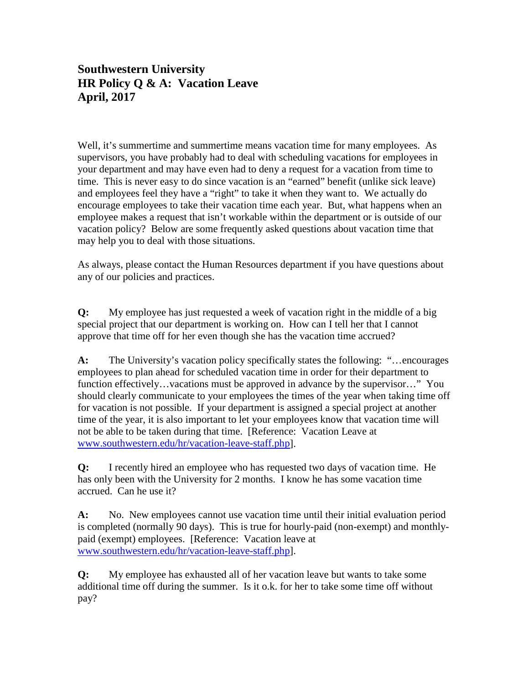## **Southwestern University HR Policy Q & A: Vacation Leave April, 2017**

Well, it's summertime and summertime means vacation time for many employees. As supervisors, you have probably had to deal with scheduling vacations for employees in your department and may have even had to deny a request for a vacation from time to time. This is never easy to do since vacation is an "earned" benefit (unlike sick leave) and employees feel they have a "right" to take it when they want to. We actually do encourage employees to take their vacation time each year. But, what happens when an employee makes a request that isn't workable within the department or is outside of our vacation policy? Below are some frequently asked questions about vacation time that may help you to deal with those situations.

As always, please contact the Human Resources department if you have questions about any of our policies and practices.

**Q:** My employee has just requested a week of vacation right in the middle of a big special project that our department is working on. How can I tell her that I cannot approve that time off for her even though she has the vacation time accrued?

**A:** The University's vacation policy specifically states the following: "…encourages employees to plan ahead for scheduled vacation time in order for their department to function effectively...vacations must be approved in advance by the supervisor..." You should clearly communicate to your employees the times of the year when taking time off for vacation is not possible. If your department is assigned a special project at another time of the year, it is also important to let your employees know that vacation time will not be able to be taken during that time. [Reference: Vacation Leave at www.southwestern.edu/hr/vacation-leave-staff.php].

**Q:** I recently hired an employee who has requested two days of vacation time. He has only been with the University for 2 months. I know he has some vacation time accrued. Can he use it?

**A:** No. New employees cannot use vacation time until their initial evaluation period is completed (normally 90 days). This is true for hourly-paid (non-exempt) and monthlypaid (exempt) employees. [Reference: Vacation leave at www.southwestern.edu/hr/vacation-leave-staff.php].

**Q:** My employee has exhausted all of her vacation leave but wants to take some additional time off during the summer. Is it o.k. for her to take some time off without pay?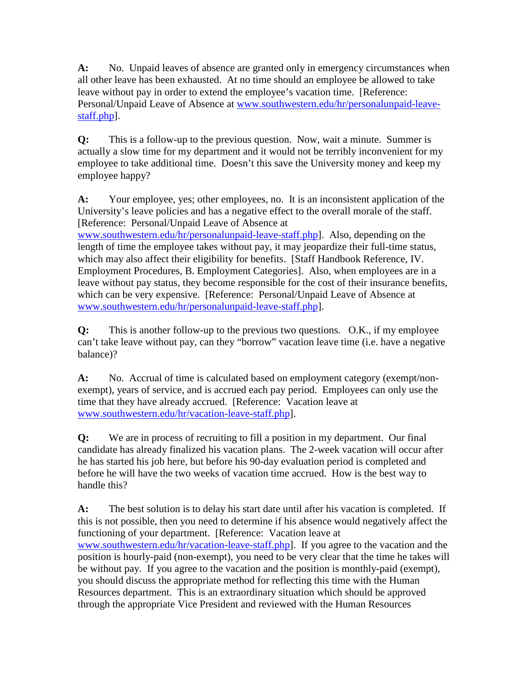**A:** No. Unpaid leaves of absence are granted only in emergency circumstances when all other leave has been exhausted. At no time should an employee be allowed to take leave without pay in order to extend the employee's vacation time. [Reference: Personal/Unpaid Leave of Absence at www.southwestern.edu/hr/personalunpaid-leavestaff.php].

**Q:** This is a follow-up to the previous question. Now, wait a minute. Summer is actually a slow time for my department and it would not be terribly inconvenient for my employee to take additional time. Doesn't this save the University money and keep my employee happy?

**A:** Your employee, yes; other employees, no. It is an inconsistent application of the University's leave policies and has a negative effect to the overall morale of the staff. [Reference: Personal/Unpaid Leave of Absence at

www.southwestern.edu/hr/personalunpaid-leave-staff.php]. Also, depending on the length of time the employee takes without pay, it may jeopardize their full-time status, which may also affect their eligibility for benefits. [Staff Handbook Reference, IV. Employment Procedures, B. Employment Categories]. Also, when employees are in a leave without pay status, they become responsible for the cost of their insurance benefits, which can be very expensive. [Reference: Personal/Unpaid Leave of Absence at www.southwestern.edu/hr/personalunpaid-leave-staff.php].

**Q:** This is another follow-up to the previous two questions. O.K., if my employee can't take leave without pay, can they "borrow" vacation leave time (i.e. have a negative balance)?

**A:** No. Accrual of time is calculated based on employment category (exempt/nonexempt), years of service, and is accrued each pay period. Employees can only use the time that they have already accrued. [Reference: Vacation leave at www.southwestern.edu/hr/vacation-leave-staff.php].

**Q:** We are in process of recruiting to fill a position in my department. Our final candidate has already finalized his vacation plans. The 2-week vacation will occur after he has started his job here, but before his 90-day evaluation period is completed and before he will have the two weeks of vacation time accrued. How is the best way to handle this?

**A:** The best solution is to delay his start date until after his vacation is completed. If this is not possible, then you need to determine if his absence would negatively affect the functioning of your department. [Reference: Vacation leave at www.southwestern.edu/hr/vacation-leave-staff.php]. If you agree to the vacation and the position is hourly-paid (non-exempt), you need to be very clear that the time he takes will be without pay. If you agree to the vacation and the position is monthly-paid (exempt), you should discuss the appropriate method for reflecting this time with the Human Resources department. This is an extraordinary situation which should be approved through the appropriate Vice President and reviewed with the Human Resources